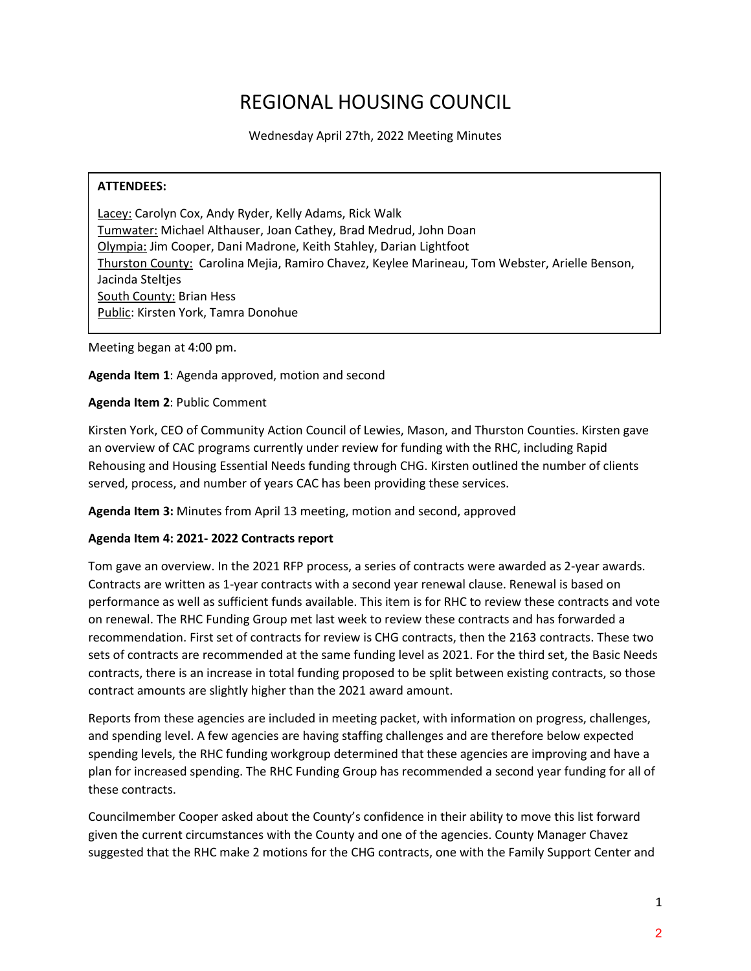# REGIONAL HOUSING COUNCIL

Wednesday April 27th, 2022 Meeting Minutes

#### **ATTENDEES:**

Lacey: Carolyn Cox, Andy Ryder, Kelly Adams, Rick Walk Tumwater: Michael Althauser, Joan Cathey, Brad Medrud, John Doan Olympia: Jim Cooper, Dani Madrone, Keith Stahley, Darian Lightfoot Thurston County: Carolina Mejia, Ramiro Chavez, Keylee Marineau, Tom Webster, Arielle Benson, Jacinda Steltjes South County: Brian Hess Public: Kirsten York, Tamra Donohue

Meeting began at 4:00 pm.

#### **Agenda Item 1**: Agenda approved, motion and second

#### **Agenda Item 2**: Public Comment

Kirsten York, CEO of Community Action Council of Lewies, Mason, and Thurston Counties. Kirsten gave an overview of CAC programs currently under review for funding with the RHC, including Rapid Rehousing and Housing Essential Needs funding through CHG. Kirsten outlined the number of clients served, process, and number of years CAC has been providing these services.

**Agenda Item 3:** Minutes from April 13 meeting, motion and second, approved

#### **Agenda Item 4: 2021- 2022 Contracts report**

Tom gave an overview. In the 2021 RFP process, a series of contracts were awarded as 2-year awards. Contracts are written as 1-year contracts with a second year renewal clause. Renewal is based on performance as well as sufficient funds available. This item is for RHC to review these contracts and vote on renewal. The RHC Funding Group met last week to review these contracts and has forwarded a recommendation. First set of contracts for review is CHG contracts, then the 2163 contracts. These two sets of contracts are recommended at the same funding level as 2021. For the third set, the Basic Needs contracts, there is an increase in total funding proposed to be split between existing contracts, so those contract amounts are slightly higher than the 2021 award amount.

Reports from these agencies are included in meeting packet, with information on progress, challenges, and spending level. A few agencies are having staffing challenges and are therefore below expected spending levels, the RHC funding workgroup determined that these agencies are improving and have a plan for increased spending. The RHC Funding Group has recommended a second year funding for all of these contracts.

Councilmember Cooper asked about the County's confidence in their ability to move this list forward given the current circumstances with the County and one of the agencies. County Manager Chavez suggested that the RHC make 2 motions for the CHG contracts, one with the Family Support Center and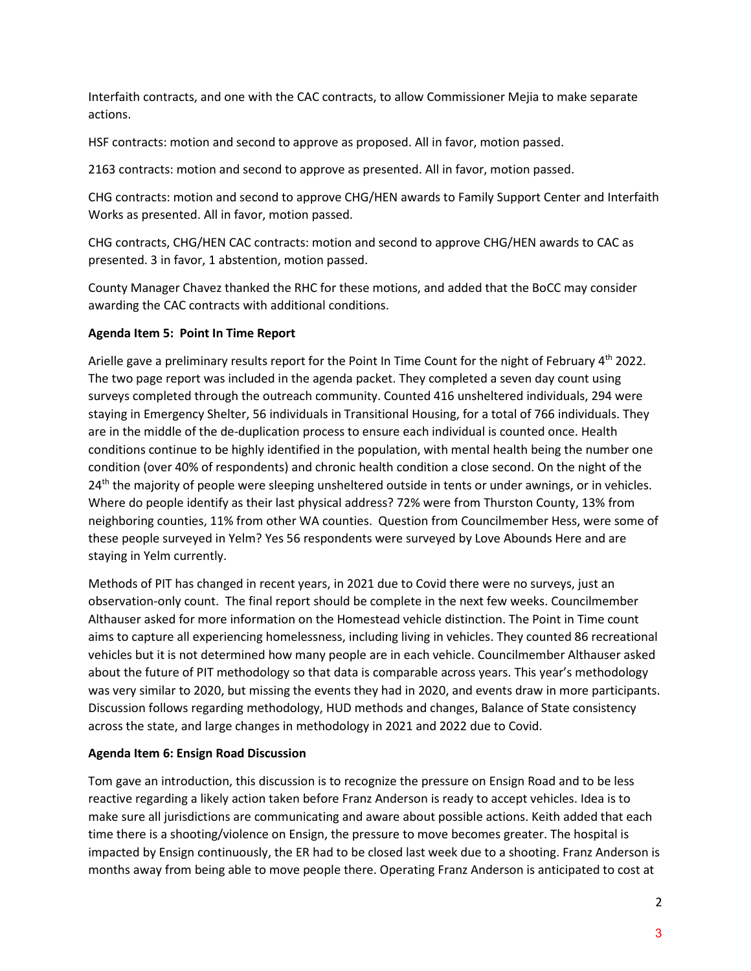Interfaith contracts, and one with the CAC contracts, to allow Commissioner Mejia to make separate actions.

HSF contracts: motion and second to approve as proposed. All in favor, motion passed.

2163 contracts: motion and second to approve as presented. All in favor, motion passed.

CHG contracts: motion and second to approve CHG/HEN awards to Family Support Center and Interfaith Works as presented. All in favor, motion passed.

CHG contracts, CHG/HEN CAC contracts: motion and second to approve CHG/HEN awards to CAC as presented. 3 in favor, 1 abstention, motion passed.

County Manager Chavez thanked the RHC for these motions, and added that the BoCC may consider awarding the CAC contracts with additional conditions.

## **Agenda Item 5: Point In Time Report**

Arielle gave a preliminary results report for the Point In Time Count for the night of February 4<sup>th</sup> 2022. The two page report was included in the agenda packet. They completed a seven day count using surveys completed through the outreach community. Counted 416 unsheltered individuals, 294 were staying in Emergency Shelter, 56 individuals in Transitional Housing, for a total of 766 individuals. They are in the middle of the de-duplication process to ensure each individual is counted once. Health conditions continue to be highly identified in the population, with mental health being the number one condition (over 40% of respondents) and chronic health condition a close second. On the night of the 24<sup>th</sup> the majority of people were sleeping unsheltered outside in tents or under awnings, or in vehicles. Where do people identify as their last physical address? 72% were from Thurston County, 13% from neighboring counties, 11% from other WA counties. Question from Councilmember Hess, were some of these people surveyed in Yelm? Yes 56 respondents were surveyed by Love Abounds Here and are staying in Yelm currently.

Methods of PIT has changed in recent years, in 2021 due to Covid there were no surveys, just an observation-only count. The final report should be complete in the next few weeks. Councilmember Althauser asked for more information on the Homestead vehicle distinction. The Point in Time count aims to capture all experiencing homelessness, including living in vehicles. They counted 86 recreational vehicles but it is not determined how many people are in each vehicle. Councilmember Althauser asked about the future of PIT methodology so that data is comparable across years. This year's methodology was very similar to 2020, but missing the events they had in 2020, and events draw in more participants. Discussion follows regarding methodology, HUD methods and changes, Balance of State consistency across the state, and large changes in methodology in 2021 and 2022 due to Covid.

#### **Agenda Item 6: Ensign Road Discussion**

Tom gave an introduction, this discussion is to recognize the pressure on Ensign Road and to be less reactive regarding a likely action taken before Franz Anderson is ready to accept vehicles. Idea is to make sure all jurisdictions are communicating and aware about possible actions. Keith added that each time there is a shooting/violence on Ensign, the pressure to move becomes greater. The hospital is impacted by Ensign continuously, the ER had to be closed last week due to a shooting. Franz Anderson is months away from being able to move people there. Operating Franz Anderson is anticipated to cost at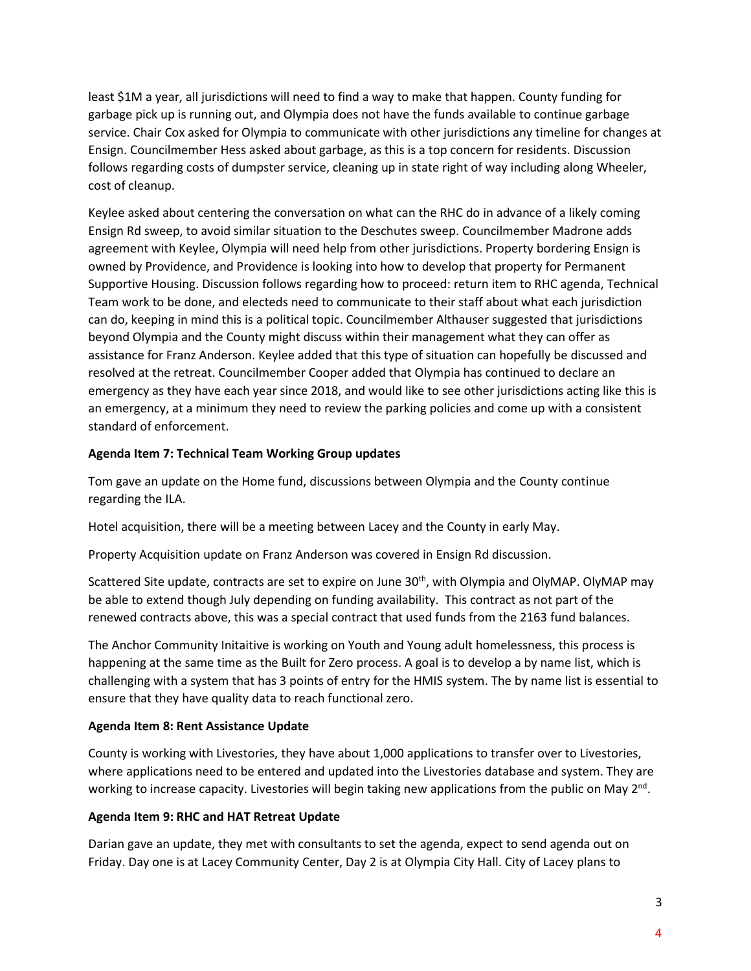least \$1M a year, all jurisdictions will need to find a way to make that happen. County funding for garbage pick up is running out, and Olympia does not have the funds available to continue garbage service. Chair Cox asked for Olympia to communicate with other jurisdictions any timeline for changes at Ensign. Councilmember Hess asked about garbage, as this is a top concern for residents. Discussion follows regarding costs of dumpster service, cleaning up in state right of way including along Wheeler, cost of cleanup.

Keylee asked about centering the conversation on what can the RHC do in advance of a likely coming Ensign Rd sweep, to avoid similar situation to the Deschutes sweep. Councilmember Madrone adds agreement with Keylee, Olympia will need help from other jurisdictions. Property bordering Ensign is owned by Providence, and Providence is looking into how to develop that property for Permanent Supportive Housing. Discussion follows regarding how to proceed: return item to RHC agenda, Technical Team work to be done, and electeds need to communicate to their staff about what each jurisdiction can do, keeping in mind this is a political topic. Councilmember Althauser suggested that jurisdictions beyond Olympia and the County might discuss within their management what they can offer as assistance for Franz Anderson. Keylee added that this type of situation can hopefully be discussed and resolved at the retreat. Councilmember Cooper added that Olympia has continued to declare an emergency as they have each year since 2018, and would like to see other jurisdictions acting like this is an emergency, at a minimum they need to review the parking policies and come up with a consistent standard of enforcement.

## **Agenda Item 7: Technical Team Working Group updates**

Tom gave an update on the Home fund, discussions between Olympia and the County continue regarding the ILA.

Hotel acquisition, there will be a meeting between Lacey and the County in early May.

Property Acquisition update on Franz Anderson was covered in Ensign Rd discussion.

Scattered Site update, contracts are set to expire on June 30<sup>th</sup>, with Olympia and OlyMAP. OlyMAP may be able to extend though July depending on funding availability. This contract as not part of the renewed contracts above, this was a special contract that used funds from the 2163 fund balances.

The Anchor Community Initaitive is working on Youth and Young adult homelessness, this process is happening at the same time as the Built for Zero process. A goal is to develop a by name list, which is challenging with a system that has 3 points of entry for the HMIS system. The by name list is essential to ensure that they have quality data to reach functional zero.

# **Agenda Item 8: Rent Assistance Update**

County is working with Livestories, they have about 1,000 applications to transfer over to Livestories, where applications need to be entered and updated into the Livestories database and system. They are working to increase capacity. Livestories will begin taking new applications from the public on May  $2^{nd}$ .

# **Agenda Item 9: RHC and HAT Retreat Update**

Darian gave an update, they met with consultants to set the agenda, expect to send agenda out on Friday. Day one is at Lacey Community Center, Day 2 is at Olympia City Hall. City of Lacey plans to